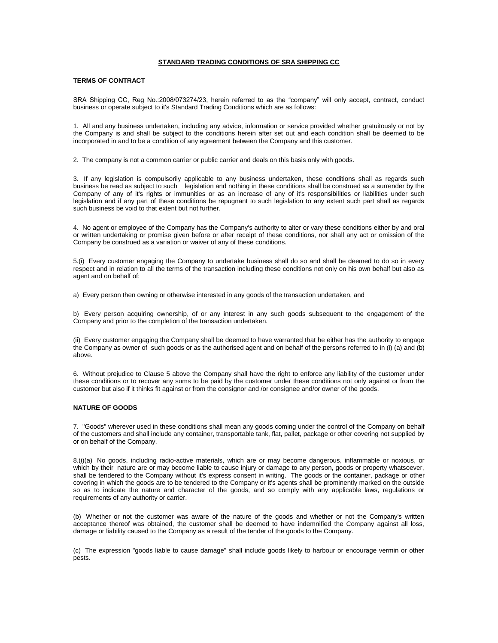## **STANDARD TRADING CONDITIONS OF SRA SHIPPING CC**

# **TERMS OF CONTRACT**

SRA Shipping CC, Reg No.:2008/073274/23, herein referred to as the "company" will only accept, contract, conduct business or operate subject to it's Standard Trading Conditions which are as follows:

1. All and any business undertaken, including any advice, information or service provided whether gratuitously or not by the Company is and shall be subject to the conditions herein after set out and each condition shall be deemed to be incorporated in and to be a condition of any agreement between the Company and this customer.

2. The company is not a common carrier or public carrier and deals on this basis only with goods.

3. If any legislation is compulsorily applicable to any business undertaken, these conditions shall as regards such business be read as subject to such legislation and nothing in these conditions shall be construed as a surrender by the Company of any of it's rights or immunities or as an increase of any of it's responsibilities or liabilities under such legislation and if any part of these conditions be repugnant to such legislation to any extent such part shall as regards such business be void to that extent but not further.

4. No agent or employee of the Company has the Company's authority to alter or vary these conditions either by and oral or written undertaking or promise given before or after receipt of these conditions, nor shall any act or omission of the Company be construed as a variation or waiver of any of these conditions.

5.(i) Every customer engaging the Company to undertake business shall do so and shall be deemed to do so in every respect and in relation to all the terms of the transaction including these conditions not only on his own behalf but also as agent and on behalf of:

a) Every person then owning or otherwise interested in any goods of the transaction undertaken, and

b) Every person acquiring ownership, of or any interest in any such goods subsequent to the engagement of the Company and prior to the completion of the transaction undertaken.

(ii) Every customer engaging the Company shall be deemed to have warranted that he either has the authority to engage the Company as owner of such goods or as the authorised agent and on behalf of the persons referred to in (i) (a) and (b) above.

6. Without prejudice to Clause 5 above the Company shall have the right to enforce any liability of the customer under these conditions or to recover any sums to be paid by the customer under these conditions not only against or from the customer but also if it thinks fit against or from the consignor and /or consignee and/or owner of the goods.

# **NATURE OF GOODS**

7. "Goods" wherever used in these conditions shall mean any goods coming under the control of the Company on behalf of the customers and shall include any container, transportable tank, flat, pallet, package or other covering not supplied by or on behalf of the Company.

8.(i)(a) No goods, including radio-active materials, which are or may become dangerous, inflammable or noxious, or which by their nature are or may become liable to cause injury or damage to any person, goods or property whatsoever, shall be tendered to the Company without it's express consent in writing. The goods or the container, package or other covering in which the goods are to be tendered to the Company or it's agents shall be prominently marked on the outside so as to indicate the nature and character of the goods, and so comply with any applicable laws, regulations or requirements of any authority or carrier.

(b) Whether or not the customer was aware of the nature of the goods and whether or not the Company's written acceptance thereof was obtained, the customer shall be deemed to have indemnified the Company against all loss, damage or liability caused to the Company as a result of the tender of the goods to the Company.

(c) The expression "goods liable to cause damage" shall include goods likely to harbour or encourage vermin or other pests.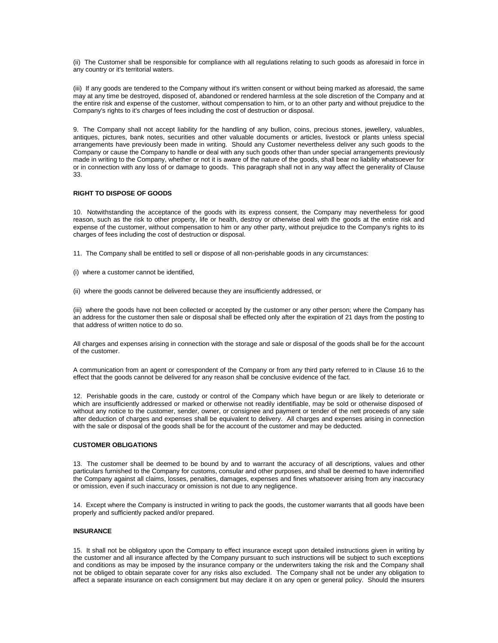(ii) The Customer shall be responsible for compliance with all regulations relating to such goods as aforesaid in force in any country or it's territorial waters.

(iii) If any goods are tendered to the Company without it's written consent or without being marked as aforesaid, the same may at any time be destroyed, disposed of, abandoned or rendered harmless at the sole discretion of the Company and at the entire risk and expense of the customer, without compensation to him, or to an other party and without prejudice to the Company's rights to it's charges of fees including the cost of destruction or disposal.

9. The Company shall not accept liability for the handling of any bullion, coins, precious stones, jewellery, valuables, antiques, pictures, bank notes, securities and other valuable documents or articles, livestock or plants unless special arrangements have previously been made in writing. Should any Customer nevertheless deliver any such goods to the Company or cause the Company to handle or deal with any such goods other than under special arrangements previously made in writing to the Company, whether or not it is aware of the nature of the goods, shall bear no liability whatsoever for or in connection with any loss of or damage to goods. This paragraph shall not in any way affect the generality of Clause 33.

# **RIGHT TO DISPOSE OF GOODS**

10. Notwithstanding the acceptance of the goods with its express consent, the Company may nevertheless for good reason, such as the risk to other property, life or health, destroy or otherwise deal with the goods at the entire risk and expense of the customer, without compensation to him or any other party, without prejudice to the Company's rights to its charges of fees including the cost of destruction or disposal.

11. The Company shall be entitled to sell or dispose of all non-perishable goods in any circumstances:

- (i) where a customer cannot be identified,
- (ii) where the goods cannot be delivered because they are insufficiently addressed, or

(iii) where the goods have not been collected or accepted by the customer or any other person; where the Company has an address for the customer then sale or disposal shall be effected only after the expiration of 21 days from the posting to that address of written notice to do so.

All charges and expenses arising in connection with the storage and sale or disposal of the goods shall be for the account of the customer.

A communication from an agent or correspondent of the Company or from any third party referred to in Clause 16 to the effect that the goods cannot be delivered for any reason shall be conclusive evidence of the fact.

12. Perishable goods in the care, custody or control of the Company which have begun or are likely to deteriorate or which are insufficiently addressed or marked or otherwise not readily identifiable, may be sold or otherwise disposed of without any notice to the customer, sender, owner, or consignee and payment or tender of the nett proceeds of any sale after deduction of charges and expenses shall be equivalent to delivery. All charges and expenses arising in connection with the sale or disposal of the goods shall be for the account of the customer and may be deducted.

### **CUSTOMER OBLIGATIONS**

13. The customer shall be deemed to be bound by and to warrant the accuracy of all descriptions, values and other particulars furnished to the Company for customs, consular and other purposes, and shall be deemed to have indemnified the Company against all claims, losses, penalties, damages, expenses and fines whatsoever arising from any inaccuracy or omission, even if such inaccuracy or omission is not due to any negligence.

14. Except where the Company is instructed in writing to pack the goods, the customer warrants that all goods have been properly and sufficiently packed and/or prepared.

# **INSURANCE**

15. It shall not be obligatory upon the Company to effect insurance except upon detailed instructions given in writing by the customer and all insurance affected by the Company pursuant to such instructions will be subject to such exceptions and conditions as may be imposed by the insurance company or the underwriters taking the risk and the Company shall not be obliged to obtain separate cover for any risks also excluded. The Company shall not be under any obligation to affect a separate insurance on each consignment but may declare it on any open or general policy. Should the insurers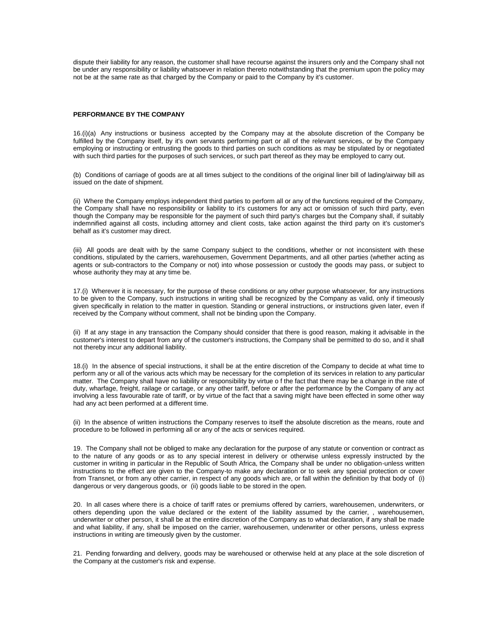dispute their liability for any reason, the customer shall have recourse against the insurers only and the Company shall not be under any responsibility or liability whatsoever in relation thereto notwithstanding that the premium upon the policy may not be at the same rate as that charged by the Company or paid to the Company by it's customer.

### **PERFORMANCE BY THE COMPANY**

16.(i)(a) Any instructions or business accepted by the Company may at the absolute discretion of the Company be fulfilled by the Company itself, by it's own servants performing part or all of the relevant services, or by the Company employing or instructing or entrusting the goods to third parties on such conditions as may be stipulated by or negotiated with such third parties for the purposes of such services, or such part thereof as they may be employed to carry out.

(b) Conditions of carriage of goods are at all times subject to the conditions of the original liner bill of lading/airway bill as issued on the date of shipment.

(ii) Where the Company employs independent third parties to perform all or any of the functions required of the Company, the Company shall have no responsibility or liability to it's customers for any act or omission of such third party, even though the Company may be responsible for the payment of such third party's charges but the Company shall, if suitably indemnified against all costs, including attorney and client costs, take action against the third party on it's customer's behalf as it's customer may direct.

(iii) All goods are dealt with by the same Company subject to the conditions, whether or not inconsistent with these conditions, stipulated by the carriers, warehousemen, Government Departments, and all other parties (whether acting as agents or sub-contractors to the Company or not) into whose possession or custody the goods may pass, or subject to whose authority they may at any time be.

17.(i) Wherever it is necessary, for the purpose of these conditions or any other purpose whatsoever, for any instructions to be given to the Company, such instructions in writing shall be recognized by the Company as valid, only if timeously given specifically in relation to the matter in question. Standing or general instructions, or instructions given later, even if received by the Company without comment, shall not be binding upon the Company.

(ii) If at any stage in any transaction the Company should consider that there is good reason, making it advisable in the customer's interest to depart from any of the customer's instructions, the Company shall be permitted to do so, and it shall not thereby incur any additional liability.

18.(i) In the absence of special instructions, it shall be at the entire discretion of the Company to decide at what time to perform any or all of the various acts which may be necessary for the completion of its services in relation to any particular matter. The Company shall have no liability or responsibility by virtue o f the fact that there may be a change in the rate of duty, wharfage, freight, railage or cartage, or any other tariff, before or after the performance by the Company of any act involving a less favourable rate of tariff, or by virtue of the fact that a saving might have been effected in some other way had any act been performed at a different time.

(ii) In the absence of written instructions the Company reserves to itself the absolute discretion as the means, route and procedure to be followed in performing all or any of the acts or services required.

19. The Company shall not be obliged to make any declaration for the purpose of any statute or convention or contract as to the nature of any goods or as to any special interest in delivery or otherwise unless expressly instructed by the customer in writing in particular in the Republic of South Africa, the Company shall be under no obligation-unless written instructions to the effect are given to the Company-to make any declaration or to seek any special protection or cover from Transnet, or from any other carrier, in respect of any goods which are, or fall within the definition by that body of (i) dangerous or very dangerous goods, or (ii) goods liable to be stored in the open.

20. In all cases where there is a choice of tariff rates or premiums offered by carriers, warehousemen, underwriters, or others depending upon the value declared or the extent of the liability assumed by the carrier, , warehousemen, underwriter or other person, it shall be at the entire discretion of the Company as to what declaration, if any shall be made and what liability, if any, shall be imposed on the carrier, warehousemen, underwriter or other persons, unless express instructions in writing are timeously given by the customer.

21. Pending forwarding and delivery, goods may be warehoused or otherwise held at any place at the sole discretion of the Company at the customer's risk and expense.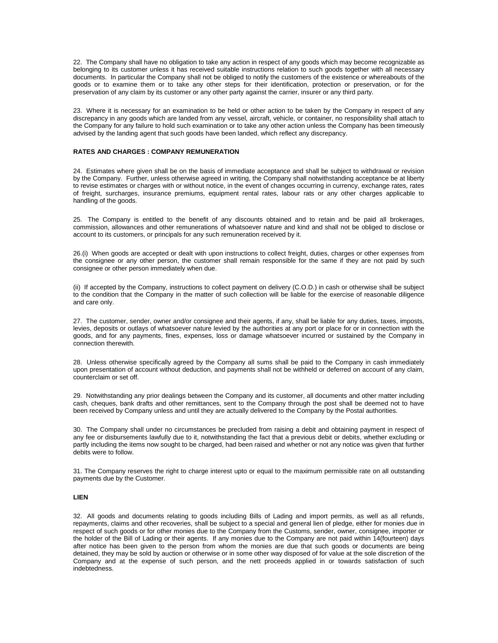22. The Company shall have no obligation to take any action in respect of any goods which may become recognizable as belonging to its customer unless it has received suitable instructions relation to such goods together with all necessary documents. In particular the Company shall not be obliged to notify the customers of the existence or whereabouts of the goods or to examine them or to take any other steps for their identification, protection or preservation, or for the preservation of any claim by its customer or any other party against the carrier, insurer or any third party.

23. Where it is necessary for an examination to be held or other action to be taken by the Company in respect of any discrepancy in any goods which are landed from any vessel, aircraft, vehicle, or container, no responsibility shall attach to the Company for any failure to hold such examination or to take any other action unless the Company has been timeously advised by the landing agent that such goods have been landed, which reflect any discrepancy.

# **RATES AND CHARGES : COMPANY REMUNERATION**

24. Estimates where given shall be on the basis of immediate acceptance and shall be subject to withdrawal or revision by the Company. Further, unless otherwise agreed in writing, the Company shall notwithstanding acceptance be at liberty to revise estimates or charges with or without notice, in the event of changes occurring in currency, exchange rates, rates of freight, surcharges, insurance premiums, equipment rental rates, labour rats or any other charges applicable to handling of the goods.

25. The Company is entitled to the benefit of any discounts obtained and to retain and be paid all brokerages, commission, allowances and other remunerations of whatsoever nature and kind and shall not be obliged to disclose or account to its customers, or principals for any such remuneration received by it.

26.(i) When goods are accepted or dealt with upon instructions to collect freight, duties, charges or other expenses from the consignee or any other person, the customer shall remain responsible for the same if they are not paid by such consignee or other person immediately when due.

(ii) If accepted by the Company, instructions to collect payment on delivery (C.O.D.) in cash or otherwise shall be subject to the condition that the Company in the matter of such collection will be liable for the exercise of reasonable diligence and care only.

27. The customer, sender, owner and/or consignee and their agents, if any, shall be liable for any duties, taxes, imposts, levies, deposits or outlays of whatsoever nature levied by the authorities at any port or place for or in connection with the goods, and for any payments, fines, expenses, loss or damage whatsoever incurred or sustained by the Company in connection therewith.

28. Unless otherwise specifically agreed by the Company all sums shall be paid to the Company in cash immediately upon presentation of account without deduction, and payments shall not be withheld or deferred on account of any claim, counterclaim or set off.

29. Notwithstanding any prior dealings between the Company and its customer, all documents and other matter including cash, cheques, bank drafts and other remittances, sent to the Company through the post shall be deemed not to have been received by Company unless and until they are actually delivered to the Company by the Postal authorities.

30. The Company shall under no circumstances be precluded from raising a debit and obtaining payment in respect of any fee or disbursements lawfully due to it, notwithstanding the fact that a previous debit or debits, whether excluding or partly including the items now sought to be charged, had been raised and whether or not any notice was given that further debits were to follow.

31. The Company reserves the right to charge interest upto or equal to the maximum permissible rate on all outstanding payments due by the Customer.

### **LIEN**

32. All goods and documents relating to goods including Bills of Lading and import permits, as well as all refunds, repayments, claims and other recoveries, shall be subject to a special and general lien of pledge, either for monies due in respect of such goods or for other monies due to the Company from the Customs, sender, owner, consignee, importer or the holder of the Bill of Lading or their agents. If any monies due to the Company are not paid within 14(fourteen) days after notice has been given to the person from whom the monies are due that such goods or documents are being detained, they may be sold by auction or otherwise or in some other way disposed of for value at the sole discretion of the Company and at the expense of such person, and the nett proceeds applied in or towards satisfaction of such indebtedness.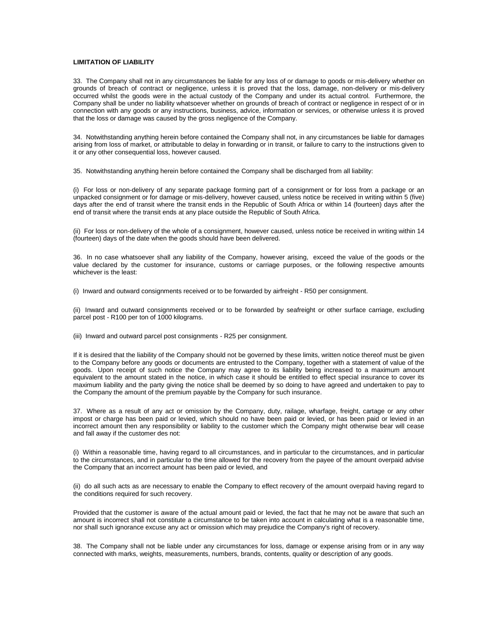## **LIMITATION OF LIABILITY**

33. The Company shall not in any circumstances be liable for any loss of or damage to goods or mis-delivery whether on grounds of breach of contract or negligence, unless it is proved that the loss, damage, non-delivery or mis-delivery occurred whilst the goods were in the actual custody of the Company and under its actual control. Furthermore, the Company shall be under no liability whatsoever whether on grounds of breach of contract or negligence in respect of or in connection with any goods or any instructions, business, advice, information or services, or otherwise unless it is proved that the loss or damage was caused by the gross negligence of the Company.

34. Notwithstanding anything herein before contained the Company shall not, in any circumstances be liable for damages arising from loss of market, or attributable to delay in forwarding or in transit, or failure to carry to the instructions given to it or any other consequential loss, however caused.

35. Notwithstanding anything herein before contained the Company shall be discharged from all liability:

(i) For loss or non-delivery of any separate package forming part of a consignment or for loss from a package or an unpacked consignment or for damage or mis-delivery, however caused, unless notice be received in writing within 5 (five) days after the end of transit where the transit ends in the Republic of South Africa or within 14 (fourteen) days after the end of transit where the transit ends at any place outside the Republic of South Africa.

(ii) For loss or non-delivery of the whole of a consignment, however caused, unless notice be received in writing within 14 (fourteen) days of the date when the goods should have been delivered.

36. In no case whatsoever shall any liability of the Company, however arising, exceed the value of the goods or the value declared by the customer for insurance, customs or carriage purposes, or the following respective amounts whichever is the least:

(i) Inward and outward consignments received or to be forwarded by airfreight - R50 per consignment.

(ii) Inward and outward consignments received or to be forwarded by seafreight or other surface carriage, excluding parcel post - R100 per ton of 1000 kilograms.

(iii) Inward and outward parcel post consignments - R25 per consignment.

If it is desired that the liability of the Company should not be governed by these limits, written notice thereof must be given to the Company before any goods or documents are entrusted to the Company, together with a statement of value of the goods. Upon receipt of such notice the Company may agree to its liability being increased to a maximum amount equivalent to the amount stated in the notice, in which case it should be entitled to effect special insurance to cover its maximum liability and the party giving the notice shall be deemed by so doing to have agreed and undertaken to pay to the Company the amount of the premium payable by the Company for such insurance.

37. Where as a result of any act or omission by the Company, duty, railage, wharfage, freight, cartage or any other impost or charge has been paid or levied, which should no have been paid or levied, or has been paid or levied in an incorrect amount then any responsibility or liability to the customer which the Company might otherwise bear will cease and fall away if the customer des not:

(i) Within a reasonable time, having regard to all circumstances, and in particular to the circumstances, and in particular to the circumstances, and in particular to the time allowed for the recovery from the payee of the amount overpaid advise the Company that an incorrect amount has been paid or levied, and

(ii) do all such acts as are necessary to enable the Company to effect recovery of the amount overpaid having regard to the conditions required for such recovery.

Provided that the customer is aware of the actual amount paid or levied, the fact that he may not be aware that such an amount is incorrect shall not constitute a circumstance to be taken into account in calculating what is a reasonable time, nor shall such ignorance excuse any act or omission which may prejudice the Company's right of recovery.

38. The Company shall not be liable under any circumstances for loss, damage or expense arising from or in any way connected with marks, weights, measurements, numbers, brands, contents, quality or description of any goods.